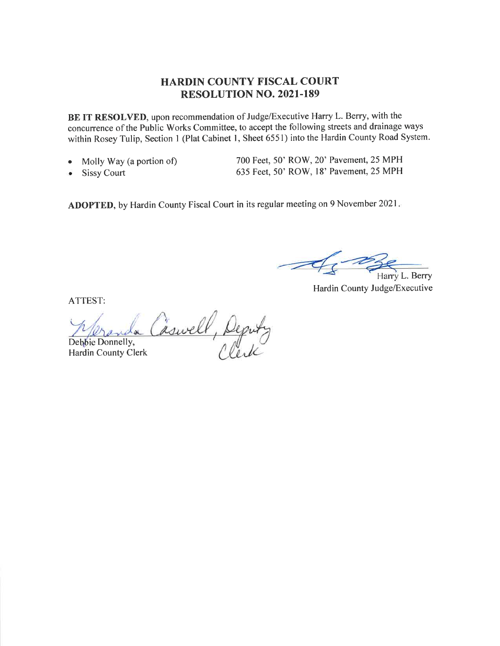#### HARDIN COUNTY FISCAL COURT RESOLUTION NO. 2021.189

BE IT RESOLVED, upon recommendation of Judge/Executive Harry L. Berry, with the concurrence of the Public Works Committee, to accept the following streets and drainage ways within Rosey Tulip, Section 1 (Plat Cabinet 1, Sheet 6551) into the Hardin County Road System.

- . Molly Way (a portion of)
- . Sissy Court

700 Feet, 50' ROW, 20' Pavement, 25 MPH 635 Feet, 50' ROW, l8' Pavement, 25 MPH

ADOPTED, by Hardin County Fiscal Court in its regular meeting on 9 November 2021

Harry L. Berry

Hardin County Judge/Executive

ATTEST:

Caswell, Deputy Debbie Donnelly, Hardin County Clerk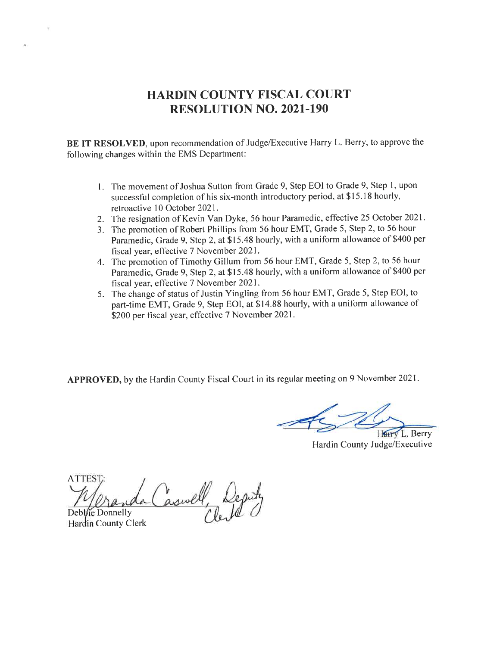# HARDIN COUNTY FISCAL COURT RESOLUTION NO. 2O2I.I9O

BE IT RESOLVED, upon recommendation of Judge/Executive Harry L. Berry, to approve the following changes within the EMS Department:

- <sup>I</sup>. The movement of Joshua Sutton from Grade 9, Step EOI to Grade 9, Step l, upon successful completion of his six-month introductory period, at \$15.18 hourly, retroactive l0 October 2021.
- 2. The resignation of Kevin Van Dyke, 56 hour Paramedic, effective 25 October 2021.
- 3. The promotion of Robert Phillips from 56 hour EMT, Grade 5, Step 2, to 56 hour Paramedic, Grade 9, Step 2, at \$15.48 hourly, with a uniform allowance of \$400 per fiscal year, effective 7 November 2021.
- 4. The promotion of Timothy Gillum from 56 hour EMT, Grade 5, Step 2, to 56 hour Paramedic, Grade 9, Step 2, at \$15.48 hourly, with a uniform allowance of \$400 per fiscal year, effective 7 November 2021.
- 5. The change of status of Justin Yingling from 56 hour EMT, Grade 5, Step EOI, to part-time EMT, Grade 9, Step EOI, at \$14.88 hourly, with a uniform allowance of \$200 per fiscal year, effective 7 November 2021.

APPROVED, by the Hardin County Fiscal Court in its regular meeting on 9 November 2021.

Harry L. Berry

Hardin County Judge/Executive

**ATTEST** aswell, Deput Debbie Donnelly

Hardin County Clerk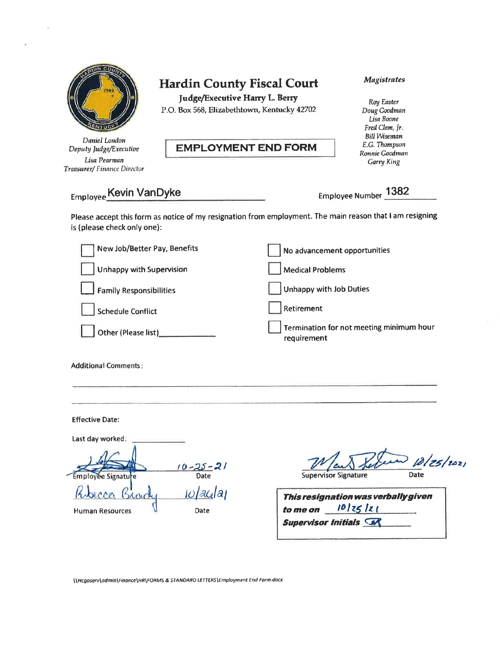

Daniel London Deputy Judge/Executive Lisa Pearman Treasurer/ Finance Director

# Hardin County Fiscal Court

|udge/Executive Harry L. Bery

P.O. Box 568, Elizabethtown, Kentucky 42702

#### EMPLOYMENT END FORM

#### Magistrates

Roy Easter Doug Goodman Lisa Boone Fred Clem, Jr. Bill Wiseman E.G.Thompson Ronnie Goodman Garry King

Employee Kevin VanDyke Employee Number 1382

Please accept this form as notice of my resignation from employment. The main reason that I am resigning is (please check only one):

| New Job/Better Pay, Benefits   | No advancement opportunities                            |
|--------------------------------|---------------------------------------------------------|
| Unhappy with Supervision       | <b>Medical Problems</b>                                 |
| <b>Family Responsibilities</b> | Unhappy with Job Duties                                 |
| Schedule Conflict              | Retirement                                              |
| Other (Please list)            | Termination for not meeting minimum hour<br>requirement |
|                                |                                                         |

#### Additional Comments

Effective Date:

Last day worked:  $-21$ Signati Date mpl  $|a\mathfrak{c}|$ al Human Resources **U** Date

 $\frac{D}{\frac{D}{\text{Date}}}$ 

Supervisor Signature

| This resignation was verbally given |  |  |  |  |  |
|-------------------------------------|--|--|--|--|--|
| to me on $10/25/21$                 |  |  |  |  |  |
| <b>Supervisor Initials SAL</b>      |  |  |  |  |  |

\\Hcgoserv\admin\Finance\HR\FORMS & STANDARD LETTERS\Employment End Form.docx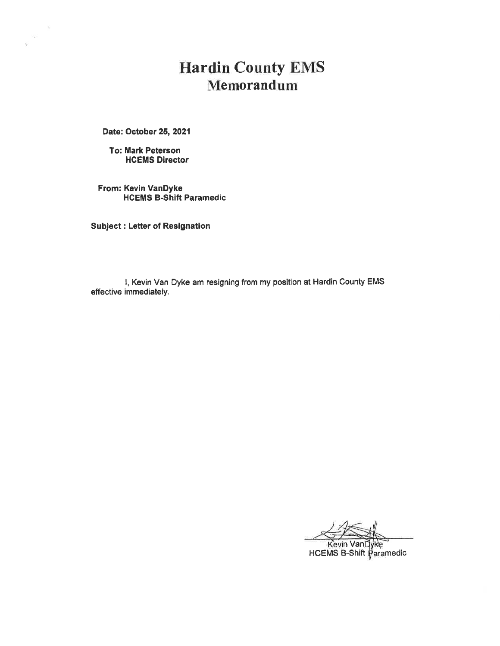# Hardin County EMS Memorandum

Date: October 25, 2021

 $\sim$ 

V)

To: Mark Peterson HCEMS Director

From: Kevin VanDyke HCEMS B-Shift Paramedic

Subiect: Letter of Resignation

I, Kevin Van Dyke am resigning from my position at Hardin County EMS effective immediately.

n Van HCEMS B-Shift Paramedic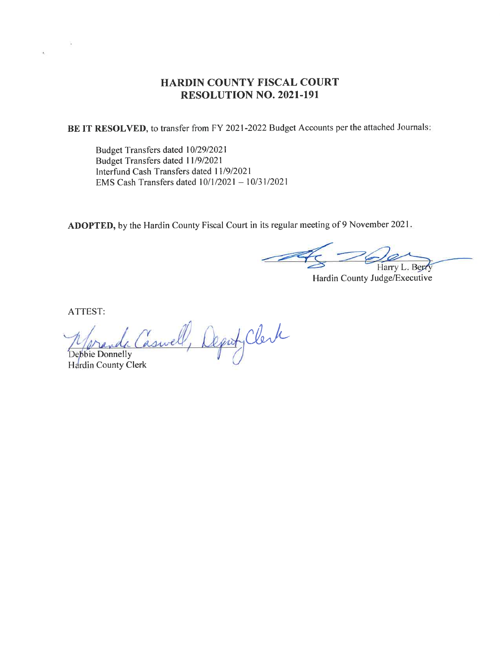#### HARDIN COUNTY FISCAL COURT RESOLUTION NO. 2021-191

BE IT RESOLVED, to transfer from FY 2021-2022 Budget Accounts per the attached Journals:

Budget Transfers dated 10/29/2021 Budget Transfers dated I l/912021 Interfund Cash Transfers dated l119/2021 EMS Cash Transfers dated  $10/1/2021 - 10/31/2021$ 

ADOPTED, by the Hardin County Fiscal Court in its regular meeting of 9 November 2021

Harry L. Berry

Hardin County Judge/Executive

ATTEST:

 $\lambda$ 

Laswell, Deput Clerk Debbie Donnelly

Hardin County Clerk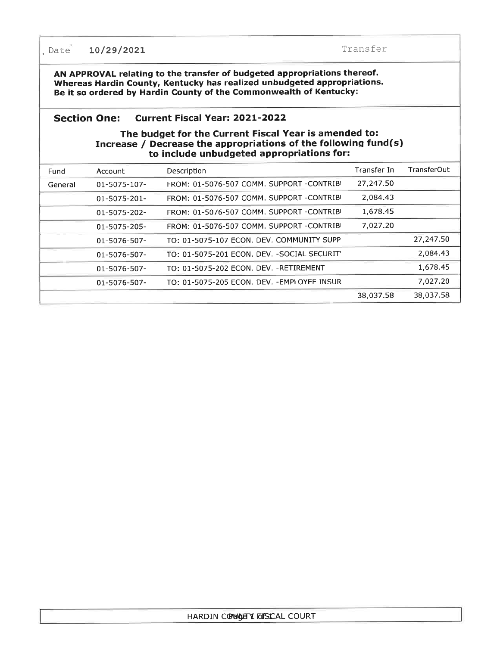. Date 10/29/2021 Transfer

AN APPROVAL relating to the transfer of budgeted appropriations thereof. Whereas Hardin County, Kentucky has realized unbudgeted appropriations. Be it so ordered by Hardin County of the Commonwealth of Kentucky:

#### Section One: Current Fiscal Year: 2O2L-2O22

#### The budget for the Current Fiscal Year is amended to: Increase / Decrease the appropriations of the following fund(s) to include unbudgeted appropriations for:

| Fund    | Account             | Description                                  | Transfer In | TransferOut |
|---------|---------------------|----------------------------------------------|-------------|-------------|
| General | 01-5075-107-        | FROM: 01-5076-507 COMM. SUPPORT -CONTRIB     | 27,247.50   |             |
|         | $01 - 5075 - 201 -$ | FROM: 01-5076-507 COMM, SUPPORT -CONTRIBI    | 2,084.43    |             |
|         | 01-5075-202-        | FROM: 01-5076-507 COMM, SUPPORT -CONTRIB     | 1,678.45    |             |
|         | 01-5075-205-        | FROM: 01-5076-507 COMM. SUPPORT -CONTRIB     | 7,027.20    |             |
|         | 01-5076-507-        | TO: 01-5075-107 ECON. DEV. COMMUNITY SUPP    |             | 27,247.50   |
|         | 01-5076-507-        | TO: 01-5075-201 ECON. DEV. - SOCIAL SECURITY |             | 2,084.43    |
|         | 01-5076-507-        | TO: 01-5075-202 ECON, DEV, -RETIREMENT       |             | 1,678.45    |
|         | 01-5076-507-        | TO: 01-5075-205 ECON. DEV. - EMPLOYEE INSUR  |             | 7,027,20    |
|         |                     |                                              | 38,037.58   | 38,037.58   |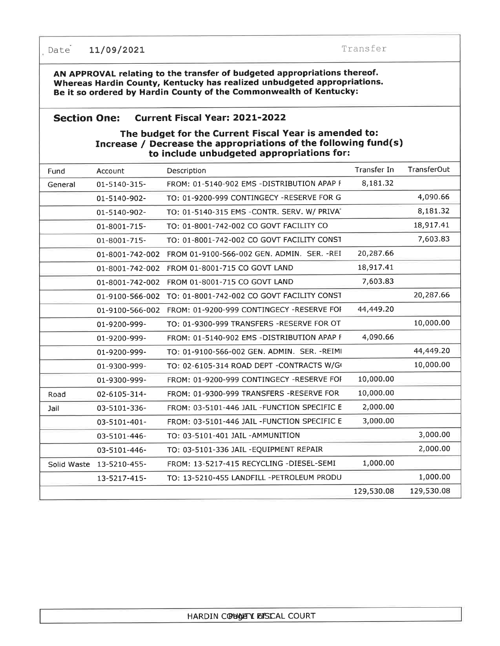Date 11/09/2021 Transfer

AN APPROVAL relating to the transfer of budgeted appropriations thereof. Whereas Hardin County, Kentucky has realized unbudgeted appropriations. Be it so ordered by Hardin County of the Commonwealth of Kentucky:

#### Section One: Current Fiscal Year: 2O2L-2O22

#### The budget for the Current Fiscal Year is amended to: Increase / Decrease the appropriations of the following fund(s) to include unbudgeted appropriations for:

| Fund        | Account         | Description                                 | Transfer In | TransferOut |
|-------------|-----------------|---------------------------------------------|-------------|-------------|
| General     | 01-5140-315-    | FROM: 01-5140-902 EMS -DISTRIBUTION APAP F  | 8,181.32    |             |
|             | 01-5140-902-    | TO: 01-9200-999 CONTINGECY -RESERVE FOR G   |             | 4,090.66    |
|             | 01-5140-902-    | TO: 01-5140-315 EMS -CONTR. SERV. W/ PRIVA* |             | 8,181.32    |
|             | 01-8001-715-    | TO: 01-8001-742-002 CO GOVT FACILITY CO     |             | 18,917.41   |
|             | 01-8001-715-    | TO: 01-8001-742-002 CO GOVT FACILITY CONST  |             | 7,603.83    |
|             | 01-8001-742-002 | FROM 01-9100-566-002 GEN. ADMIN. SER. -REI  | 20,287.66   |             |
|             | 01-8001-742-002 | FROM 01-8001-715 CO GOVT LAND               | 18,917.41   |             |
|             | 01-8001-742-002 | FROM 01-8001-715 CO GOVT LAND               | 7,603.83    |             |
|             | 01-9100-566-002 | TO: 01-8001-742-002 CO GOVT FACILITY CONST  |             | 20,287.66   |
|             | 01-9100-566-002 | FROM: 01-9200-999 CONTINGECY -RESERVE FOI   | 44,449.20   |             |
|             | 01-9200-999-    | TO: 01-9300-999 TRANSFERS -RESERVE FOR OT   |             | 10,000.00   |
|             | 01-9200-999-    | FROM: 01-5140-902 EMS -DISTRIBUTION APAP F  | 4,090.66    |             |
|             | 01-9200-999-    | TO: 01-9100-566-002 GEN, ADMIN, SER, -REIMI |             | 44,449.20   |
|             | 01-9300-999-    | TO: 02-6105-314 ROAD DEPT -CONTRACTS W/G    |             | 10,000.00   |
|             | 01-9300-999-    | FROM: 01-9200-999 CONTINGECY -RESERVE FOI   | 10,000.00   |             |
| Road        | 02-6105-314-    | FROM: 01-9300-999 TRANSFERS -RESERVE FOR    | 10,000.00   |             |
| Jail        | 03-5101-336-    | FROM: 03-5101-446 JAIL -FUNCTION SPECIFIC E | 2,000.00    |             |
|             | 03-5101-401-    | FROM: 03-5101-446 JAIL -FUNCTION SPECIFIC E | 3,000.00    |             |
|             | 03-5101-446-    | TO: 03-5101-401 JAIL -AMMUNITION            |             | 3,000.00    |
|             | 03-5101-446-    | TO: 03-5101-336 JAIL - EQUIPMENT REPAIR     |             | 2,000.00    |
| Solid Waste | 13-5210-455-    | FROM: 13-5217-415 RECYCLING -DIESEL-SEMI    | 1,000.00    |             |
|             | 13-5217-415-    | TO: 13-5210-455 LANDFILL -PETROLEUM PRODU   |             | 1,000.00    |
|             |                 |                                             | 129,530.08  | 129,530.08  |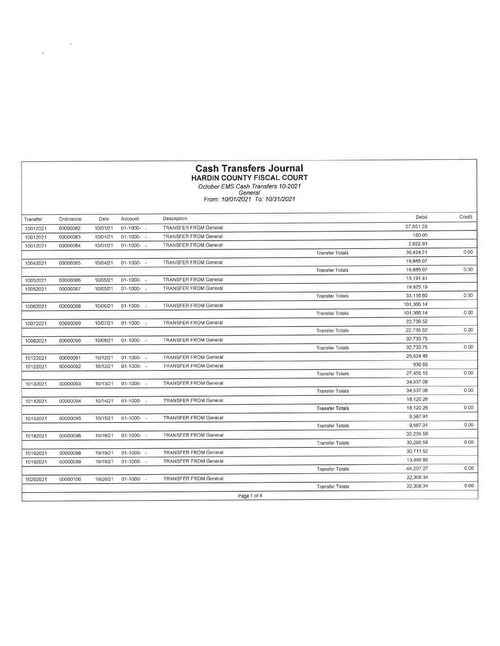#### **Cash Transfers Journal HARDIN COUNTY FISCAL COURT**

 $\frac{1}{\sqrt{2}}$  ,  $\frac{1}{\sqrt{2}}$  ,  $\frac{1}{\sqrt{2}}$  ,  $\frac{1}{\sqrt{2}}$ 

October EMS Cash Tribute COOK<br>Cotober EMS Cash Transfers 10-2021<br>From: 10/01/2021 To: 10/31/2021

| Transfer | Ordinance | Date     | Account         | Description                  |                        | Debil      | Credit |
|----------|-----------|----------|-----------------|------------------------------|------------------------|------------|--------|
| 10012021 | 00000082  | 10/01/21 | $01-1000-$      | <b>TRANSFER FROM General</b> |                        | 27.651.28  |        |
| 10012021 | 00000083  | 10/01/21 | $01-1000-$      | <b>TRANSFER FROM General</b> |                        | 150.00     |        |
| 10012021 | 00000084  | 10/01/21 | $01-1000 - 100$ | <b>TRANSFER FROM General</b> |                        | 2,622 93   |        |
|          |           |          |                 |                              | <b>Transfer Totals</b> | 30,424 21  | 0.00   |
| 10042021 | 00000085  | 10/04/21 | $01-1000-$      | <b>TRANSFER FROM General</b> |                        | 19,886 07  |        |
|          |           |          |                 |                              | <b>Transfer Totals</b> | 19,886.07  | 0,00   |
| 10052021 | 00000086  | 10/05/21 | $01-1000 -$     | <b>TRANSFER FROM General</b> |                        | 13,191.41  |        |
| 10052021 | 00000087  | 10/05/21 | $01-1000-$      | <b>TRANSFER FROM General</b> |                        | 19,925.19  |        |
|          |           |          |                 |                              | <b>Transfer Totals</b> | 33,116.60  | 0.00   |
| 10062021 | 00000088  | 10/06/21 | $01-1000-$      | <b>TRANSFER FROM General</b> |                        | 101,366 14 |        |
|          |           |          |                 |                              | <b>Transfer Totals</b> | 101,366.14 | 0.00   |
| 10072021 | 00000089  | 10/07/21 | $01-1000-1$     | <b>TRANSFER FROM General</b> |                        | 22.736.52  |        |
|          |           |          |                 |                              | <b>Transfer Totals</b> | 22,736 52  | 0.00   |
| 10082021 | 00000090  | 10/08/21 | $01-1000-$      | <b>TRANSFER FROM General</b> |                        | 32,733 75  |        |
|          |           |          |                 |                              | <b>Transfer Tolals</b> | 32,733.75  | 0.00   |
| 10122021 | 00000091  | 10/12/21 | $01-1000-$      | <b>TRANSFER FROM General</b> |                        | 26,524.46  |        |
| 10122021 | 00000092  | 10/12/21 | $01-1000-$      | <b>TRANSFER FROM General</b> |                        | 930 69     |        |
|          |           |          |                 |                              | <b>Transfer Totals</b> | 27,455 15  | 0,00   |
| 10132021 | 00000093  | 10/13/21 | 01-1000-        | <b>TRANSFER FROM General</b> |                        | 34,537.08  |        |
|          |           |          |                 |                              | <b>Transfer Totals</b> | 34.537.08  | 0.00   |
| 10142021 | 00000094  | 10/14/21 | $01-1000 -$     | <b>TRANSFER FROM General</b> |                        | 18,120 28  |        |
|          |           |          |                 |                              | <b>Transfer Totals</b> | 18,120 28  | 0.00   |
| 10152021 | 00000095  | 10/15/21 | $01-1000-$      | <b>TRANSFER FROM General</b> |                        | 9,587.91   |        |
|          |           |          |                 |                              | <b>Transfer Totals</b> | 9,587.91   | 0.00   |
| 10182021 | 00000096  | 10/18/21 | $01 - 1000 -$   | <b>TRANSFER FROM General</b> |                        | 30,295.58  |        |
|          |           |          |                 |                              | <b>Transfer Totals</b> | 30,295.58  | 0.00   |
| 10192021 | 00000098  | 10/19/21 | $01 - 1000 -$   | <b>TRANSFER FROM General</b> |                        | 30,711 52  |        |
| 10192021 | 00000099  | 10/19/21 | $01 - 1000 -$   | <b>TRANSFER FROM General</b> |                        | 13,495.85  |        |
|          |           |          |                 |                              | <b>Transfer Totals</b> | 44,207.37  | 0.00   |
| 10202021 | 00000100  | 10/20/21 | $01-1000-$      | <b>TRANSFER FROM General</b> |                        | 22,308 34  |        |
|          |           |          |                 |                              | <b>Transfer Totals</b> | 22,308 34  | 0.00   |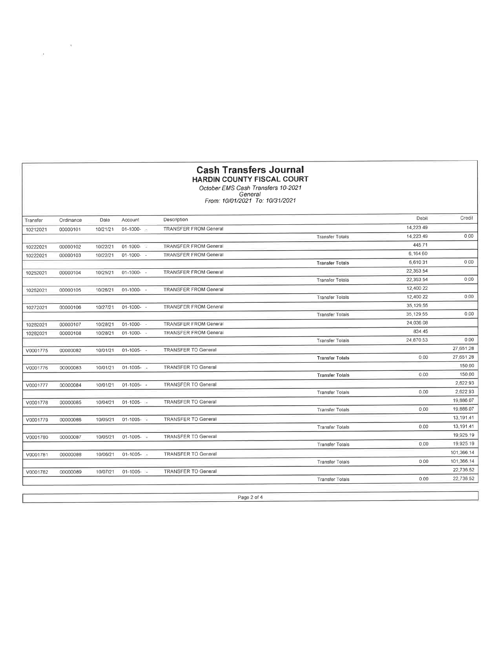| <b>Cash Transfers Journal</b>     |
|-----------------------------------|
| <b>HARDIN COUNTY FISCAL COURT</b> |

October EMS Cash Transfers 10-2021<br>Cotober EMS Cash Transfers 10-2021<br>From: 10/01/2021 To: 10/31/2021

| Transfer | Ordinance | Dale     | Account        | Description                  |                        | Debit     | Credit     |
|----------|-----------|----------|----------------|------------------------------|------------------------|-----------|------------|
| 10212021 | 00000101  | 10/21/21 | $01-1000 -$    | <b>TRANSFER FROM General</b> |                        | 14,223 49 |            |
|          |           |          |                |                              | <b>Transfer Totals</b> | 14,223.49 | 0.00       |
| 10222021 | 00000102  | 10/22/21 | $01-1000-$     | <b>TRANSFER FROM General</b> |                        | 44571     |            |
| 10222021 | 00000103  | 10/22/21 | $01-1000 - -$  | <b>TRANSFER FROM General</b> |                        | 6,164 60  |            |
|          |           |          |                |                              | <b>Transfer Totals</b> | 6,610 31  | 0.00       |
| 10252021 | 00000104  | 10/25/21 | $01-1000 - -$  | <b>TRANSFER FROM General</b> |                        | 22,353.54 |            |
|          |           |          |                |                              | <b>Transfer Totals</b> | 22,353.54 | 0.00       |
| 10262021 | 00000105  | 10/26/21 | $01-1000 - -$  | <b>TRANSFER FROM General</b> |                        | 12,400 22 |            |
|          |           |          |                |                              | <b>Transfer Tolals</b> | 12,400 22 | 0.00       |
| 10272021 | 00000106  | 10/27/21 | $01-1000-$     | <b>TRANSFER FROM General</b> |                        | 35,129 55 |            |
|          |           |          |                |                              | <b>Transfer Totals</b> | 35,129.55 | 0.00       |
| 10282021 | 00000107  | 10/28/21 | $01-1000 -$    | <b>TRANSFER FROM General</b> |                        | 24,036 08 |            |
| 10282021 | 00000108  | 10/28/21 | $01-1000-$     | <b>TRANSFER FROM General</b> |                        | 834 45    |            |
|          |           |          |                |                              | <b>Transfer Tolals</b> | 24.870.53 | 0.00       |
| V0001775 | 00000082  | 10/01/21 | $01-1005 - -$  | <b>TRANSFER TO General</b>   |                        |           | 27,651.28  |
|          |           |          |                |                              | <b>Transfer Totals</b> | 0.00      | 27.651.28  |
| V0001776 | 00000083  | 10/01/21 | $01-1005 - 14$ | <b>TRANSFER TO General</b>   |                        |           | 150.00     |
|          |           |          |                |                              | <b>Transfer Totals</b> | 0.00      | 150.00     |
| V0001777 | 00000084  | 10/01/21 | $01-1005 - -$  | <b>TRANSFER TO General</b>   |                        |           | 2,62293    |
|          |           |          |                |                              | <b>Transfer Totals</b> | 0.00      | 2,622 93   |
| V0001778 | 00000085  | 10/04/21 | $01-1005 -$    | <b>TRANSFER TO General</b>   |                        |           | 19,886.07  |
|          |           |          |                |                              | <b>Transfer Totals</b> | 0.00      | 19.886.07  |
| V0001779 | 00000086  | 10/05/21 | $01-1005 - 4$  | <b>TRANSFER TO General</b>   |                        |           | 13,191.41  |
|          |           |          |                |                              | <b>Transfer Totals</b> | 0.00      | 13,191.41  |
| V0001780 | 00000087  | 10/05/21 | $01-1005 -$    | <b>TRANSFER TO General</b>   |                        |           | 19,925 19  |
|          |           |          |                |                              | <b>Transfer Totals</b> | 0.00      | 19,925 19  |
| V0001781 | 00000088  | 10/06/21 | $01-1005 - -$  | <b>TRANSFER TO General</b>   |                        |           | 101,366 14 |
|          |           |          |                |                              | <b>Transfer Totals</b> | 000       | 101,366,14 |
| V0001782 | 00000089  | 10/07/21 | $01-1005 - -$  | <b>TRANSFER TO General</b>   |                        |           | 22,736.52  |
|          |           |          |                |                              | <b>Transfer Totals</b> | 0.00      | 22,736.52  |

Page 2 of 4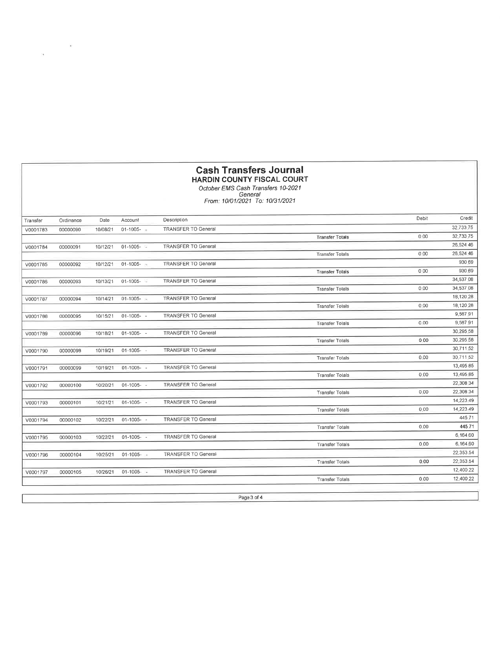|          | <b>Cash Transfers Journal</b><br><b>HARDIN COUNTY FISCAL COURT</b><br>October EMS Cash Transfers 10-2021<br>General<br>From: 10/01/2021 To: 10/31/2021 |          |                |                            |                        |       |           |
|----------|--------------------------------------------------------------------------------------------------------------------------------------------------------|----------|----------------|----------------------------|------------------------|-------|-----------|
|          |                                                                                                                                                        |          |                |                            |                        |       |           |
| Transfer | Ordinance                                                                                                                                              | Date     | Account        | Description                |                        | Debit | Credit    |
| V0001783 | 00000090                                                                                                                                               | 10/08/21 | $01-1005 - 14$ | <b>TRANSFER TO General</b> |                        |       | 32,733.75 |
|          |                                                                                                                                                        |          |                |                            | <b>Transfer Totals</b> | 000   | 32.733.75 |
| V0001784 | 00000091                                                                                                                                               | 10/12/21 | $01-1005 - 1$  | <b>TRANSFER TO General</b> |                        |       | 26,524.46 |
|          |                                                                                                                                                        |          |                |                            | <b>Transfer Totals</b> | 0.00  | 26,524.46 |
| V0001785 | 00000092                                                                                                                                               | 10/12/21 | $01-1005-$     | <b>TRANSFER TO General</b> |                        |       | 930.69    |
|          |                                                                                                                                                        |          |                |                            | <b>Transfer Tolals</b> | 0.00  | 930.69    |
| V0001786 | 00000093                                                                                                                                               | 10/13/21 | $01-1005 - 4$  | <b>TRANSFER TO General</b> |                        |       | 34,537.08 |
|          |                                                                                                                                                        |          |                |                            | <b>Transfer Totals</b> | 0.00  | 34,537,08 |
| V0001787 | 00000094                                                                                                                                               | 10/14/21 | $01-1005 - 4$  | <b>TRANSFER TO General</b> |                        |       | 18,120.28 |
|          |                                                                                                                                                        |          |                |                            | <b>Transfer Totals</b> | 0.00  | 18,120.28 |
| V0001788 | 00000095                                                                                                                                               | 10/15/21 | $01-1005 - -$  | <b>TRANSFER TO General</b> |                        |       | 9,587.91  |
|          |                                                                                                                                                        |          |                |                            | <b>Transfer Tolals</b> | 0.00  | 9,587.91  |
| V0001789 | 00000096                                                                                                                                               | 10/18/21 | $01-1005 -$    | <b>TRANSFER TO General</b> |                        |       | 30,295.58 |
|          |                                                                                                                                                        |          |                |                            | <b>Transfer Totals</b> | 0.00  | 30,295.58 |
| V0001790 | 00000098                                                                                                                                               | 10/19/21 | $01-1005-$     | <b>TRANSFER TO General</b> |                        |       | 30,711.52 |
|          |                                                                                                                                                        |          |                |                            | <b>Transfer Totals</b> | 0.00  | 30.711.52 |
| V0001791 | 00000099                                                                                                                                               | 10/19/21 | $01-1005 - -$  | <b>TRANSFER TO General</b> |                        |       | 13,495 85 |
|          |                                                                                                                                                        |          |                |                            | <b>Transfer Tolals</b> | 0.00  | 13,495.85 |
| V0001792 | 00000100                                                                                                                                               | 10/20/21 | 01-1005-       | <b>TRANSFER TO General</b> |                        |       | 22,308 34 |
|          |                                                                                                                                                        |          |                |                            | <b>Transfer Totals</b> | 0.00  | 22,308 34 |
| V0001793 | 00000101                                                                                                                                               | 10/21/21 | $01 - 1005 -$  | <b>TRANSFER TO General</b> |                        |       | 14,223 49 |
|          |                                                                                                                                                        |          |                |                            | <b>Transfer Totals</b> | 0.00  | 14,223 49 |
| V0001794 | 00000102                                                                                                                                               | 10/22/21 | $01 - 1005 -$  | <b>TRANSFER TO General</b> |                        |       | 445 71    |
|          |                                                                                                                                                        |          |                |                            | <b>Transfer Totals</b> | 0.00  | 445 71    |
| V0001795 | 00000103                                                                                                                                               | 10/22/21 | $01 - 1005 -$  | <b>TRANSFER TO General</b> |                        |       | 6,164.60  |
|          |                                                                                                                                                        |          |                |                            | <b>Transfer Totals</b> | 0.00  | 6,164.60  |
| V0001796 | 00000104                                                                                                                                               | 10/25/21 | $01-1005 - -$  | <b>TRANSFER TO General</b> |                        |       | 22,353.54 |
|          |                                                                                                                                                        |          |                |                            | <b>Transfer Totals</b> | 0.00  | 22,353 54 |
| V0001797 | 00000105                                                                                                                                               | 10/26/21 | $01-1005 -$    | <b>TRANSFER TO General</b> |                        |       | 12,400.22 |
|          |                                                                                                                                                        |          |                |                            | <b>Transfer Totals</b> | 0.00  | 12,400.22 |

Page 3 of 4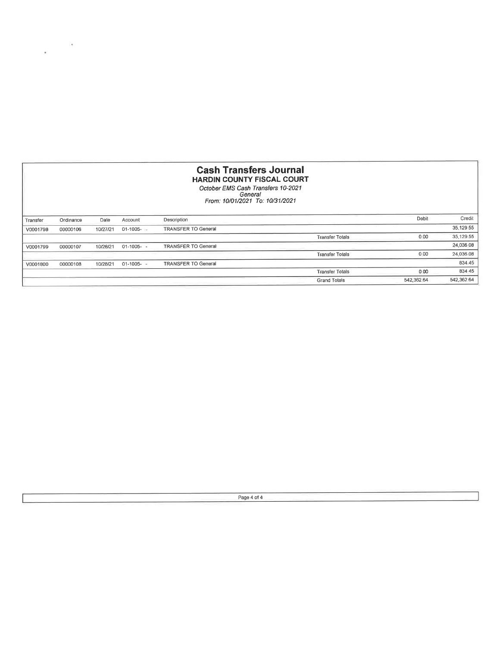| <b>Cash Transfers Journal</b><br><b>HARDIN COUNTY FISCAL COURT</b><br>October EMS Cash Transfers 10-2021<br>General<br>From: 10/01/2021 To: 10/31/2021 |           |          |               |                            |                        |            |            |
|--------------------------------------------------------------------------------------------------------------------------------------------------------|-----------|----------|---------------|----------------------------|------------------------|------------|------------|
| Transfer                                                                                                                                               | Ordinance | Date     | Account       | Description                |                        | Debit      | Credit     |
| V0001798                                                                                                                                               | 00000106  | 10/27/21 | $01-1005 - =$ | <b>TRANSFER TO General</b> |                        |            | 35,129.55  |
|                                                                                                                                                        |           |          |               |                            | <b>Transfer Totals</b> | 0.00       | 35,129 55  |
| V0001799                                                                                                                                               | 00000107  | 10/28/21 | $01-1005 - -$ | <b>TRANSFER TO General</b> |                        |            | 24,036 08  |
|                                                                                                                                                        |           |          |               |                            | <b>Transfer Totals</b> | 0.00       | 24,036 08  |
| V0001800                                                                                                                                               | 00000108  | 10/28/21 | $01-1005 - -$ | <b>TRANSFER TO General</b> |                        |            | 834.45     |
|                                                                                                                                                        |           |          |               |                            | <b>Transfer Totals</b> | 0.00       | 834 45     |
|                                                                                                                                                        |           |          |               |                            | <b>Grand Totals</b>    | 542.362 64 | 542,362 64 |

Page 4 of 4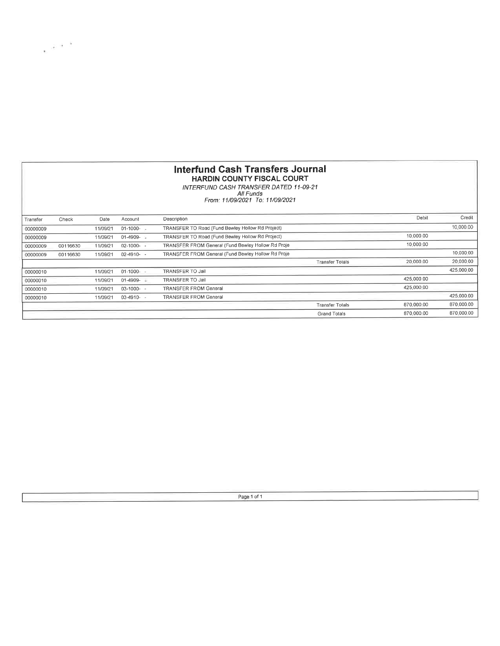#### lnterfund Gash Transfers Journal HARDIN COUNTY FISCAL COURT

 $\sim \alpha^{-1}$ 

INTERFUND CASH IRANSFER DATED 11-09.21 Ail Funds From: <sup>1</sup>1 /09/2021 To: <sup>1</sup>1 /09/2021

| Transfer | Check    | Date     | Account          | Description                                        |                        | Debit      | Credil     |
|----------|----------|----------|------------------|----------------------------------------------------|------------------------|------------|------------|
| 00000009 |          | 11/09/21 | 01-1000-         | TRANSFER TO Road (Fund Bewley Hollow Rd Project)   |                        |            | 10,000.00  |
| 00000009 |          | 11/09/21 | $01-4909 - 4909$ | TRANSFER TO Road (Fund Bewley Hollow Rd Project)   |                        | 10,000 00  |            |
| 00000009 | 00116630 | 11/09/21 | $02 - 1000 -$    | TRANSFER FROM General (Fund Bewley Hollow Rd Proje |                        | 10,000 00  |            |
| 00000009 | 00116630 | 11/09/21 | $02-4910-$       | TRANSFER FROM General (Fund Bewley Hollow Rd Proje |                        |            | 10,000.00  |
|          |          |          |                  |                                                    | <b>Transfer Totals</b> | 20,000 00  | 20,000.00  |
| 00000010 |          | 11/09/21 | $01-1000 -$      | <b>TRANSFER TO Jail</b>                            |                        |            | 425,000.00 |
| 00000010 |          | 11/09/21 | $01-4909 -$      | TRANSFER TO Jail                                   |                        | 425,000 00 |            |
| 00000010 |          | 11/09/21 | $03-1000 - -$    | <b>TRANSFER FROM General</b>                       |                        | 425,000.00 |            |
| 00000010 |          | 11/09/21 | $03-4910-$       | <b>TRANSFER FROM General</b>                       |                        |            | 425,000.00 |
|          |          |          |                  |                                                    | <b>Transfer Totals</b> | 870.000.00 | 870,000.00 |
|          |          |          |                  |                                                    | Grand Totals           | 870.000.00 | 870,000.00 |

Page 1 of 1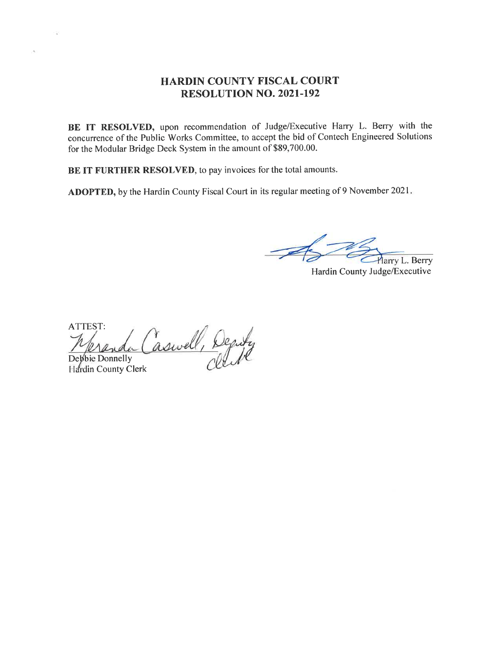#### HARDIN COUNTY FISCAL COURT RESOLUTION NO. 2021-192

BE IT RESOLVED, upon recommendation of Judge/Executive Harry L. Berry with the concurrence of the Public Works Committee, to accept the bid of Contech Engineered Solutions for the Modular Bridge Deck System in the amount of \$89,700.00.

BE IT FURTHER RESOLVED, to pay invoices for the total amounts.

ADOPTED, by the Hardin County Fiscal Court in its regular meeting of 9 November 2021

Harry L. Berry

Hardin County Judge/Executive

ATTEST: Meranda Caswell, Deputy

Hardin County Clerk

 $\mathcal{A}_0$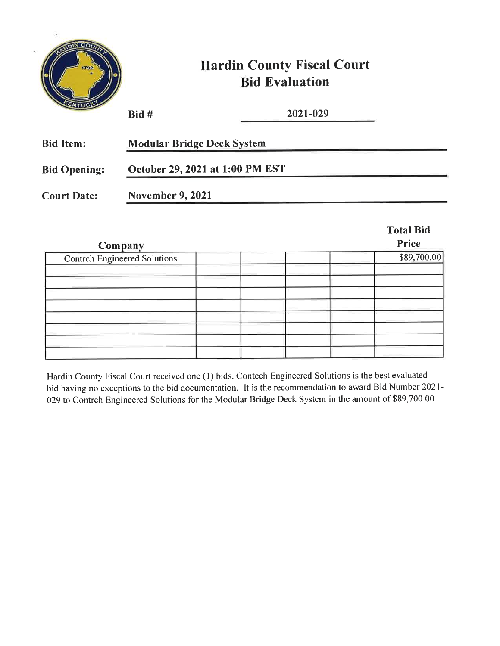|                     |                                   | <b>Hardin County Fiscal Court</b><br><b>Bid Evaluation</b> |                  |  |
|---------------------|-----------------------------------|------------------------------------------------------------|------------------|--|
|                     | Bid #                             | 2021-029                                                   |                  |  |
| <b>Bid Item:</b>    | <b>Modular Bridge Deck System</b> |                                                            |                  |  |
| <b>Bid Opening:</b> | October 29, 2021 at 1:00 PM EST   |                                                            |                  |  |
| <b>Court Date:</b>  | <b>November 9, 2021</b>           |                                                            |                  |  |
|                     |                                   |                                                            | <b>Total Bid</b> |  |

 $\lambda$ 

| Company                             | Price       |
|-------------------------------------|-------------|
| <b>Contrch Engineered Solutions</b> | \$89,700.00 |
|                                     |             |
|                                     |             |
|                                     |             |
|                                     |             |
|                                     |             |
|                                     |             |
|                                     |             |

Hardin County Fiscal Court received one (1) bids. Contech Engineered Solutions is the best evaluated bid having no exceptions to the bid documentation. It is the recommendation to award Bid Number 2021-029 to Contrch Engineered Solutions for the Modular Bridge Deck System in the amount of \$89,700.00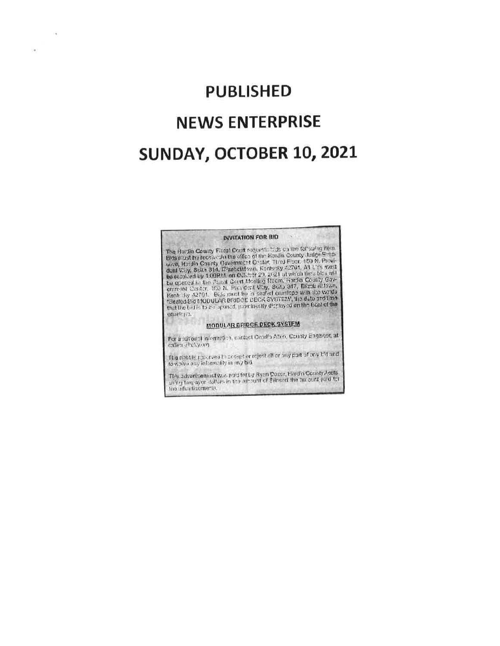# **PUBLISHED NEWS ENTERPRISE** SUNDAY, OCTOBER 10, 2021

i.

÷

#### **INVITATION FOR BID**

 $14^{\circ}$ 

The Raidin County Fiscal Court requests tilds on the following item. The Hardin Gourty Fiscal Court requests tids on the following film.<br>Bids must by receive 50 that of the Hardin County bridge State<br>uive, Hardin County Gavernment Conter, Tired Floor, 150 M Provident<br>don't Visy, Suite 314, unvelopts.

**MODULAR BRIDGE DECK SYSTEM** 

For a riditional information, cantact Creatic Alten, County Engineer, at called Photoving

The right is reported to accept or reject all or any part of any bid and<br>to waive any informality in any bid.

This advantagement was eard for by Ryan Dozor, Hardin County Accts.<br>using taxpayor dallors in the amount of Stinsort the arcount paid for ting advantagment).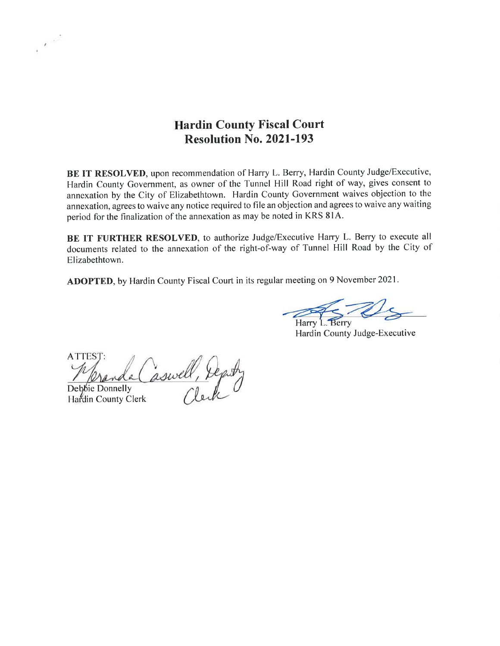## Hardin County Fiscal Court Resolution No. 2021-193

BE IT RESOLVED, upon recommendation of Harry L. Berry, Hardin County Judge/Executive, Hardin County Government, as owner of the Tunnel Hill Road right of way, gives consent to annexation by the City of Elizabethtown. Hardin County Government waives objection to the annexation, agrees to waive any notice required to file an objection and agrees to waive any waiting period forthe finalization of the annexation as may be noted in KRS 8lA.

BE IT FURTHER RESOLVED, to authorize Judge/Executive Harry L. Berry to execute all documents related to the annexation of the right-of-way of Tunnel Hill Road by the City of Elizabethtown.

ADOPTED, by Hardin County Fiscal Court in its regular meeting on 9 November 2021.

Harry L. Berry

Hardin County Judge-Executive

ATTEST: aswell, Deputy Deb<sub>bie</sub> Donnelly

Hardin County Clerk

 $\lambda \rightarrow 0$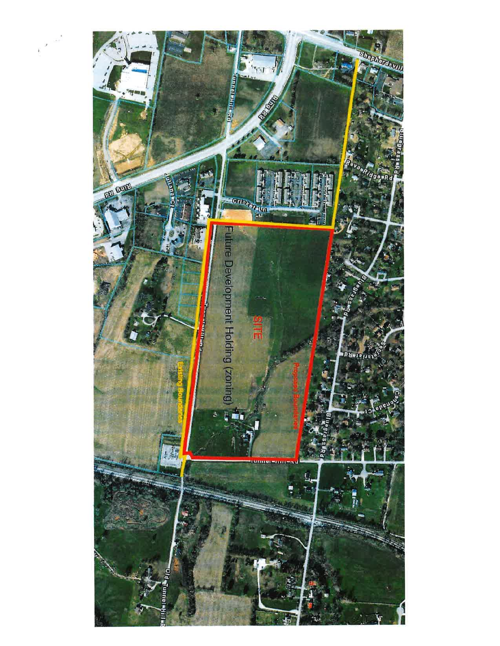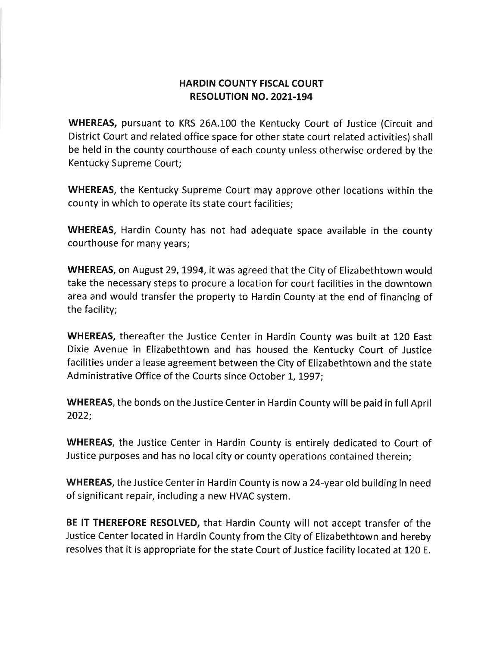### HARDIN COUNTY FISCAL COURT RESOLUTION NO. 202L-194

WHEREAS, pursuant to KRS 26A.100 the Kentucky Court of Justice (Circuit and District Court and related office space for other state court related activities) shall be held in the county courthouse of each county unless otherwise ordered by the Kentucky Supreme Court;

WHEREAS, the Kentucky Supreme Court may approve other locations within the county in which to operate its state court facilities;

WHEREAS, Hardin County has not had adequate space available in the county courthouse for many years;

WHEREAS, on August 29, 1994, it was agreed that the City of Elizabethtown would take the necessary steps to procure a location for court facilities in the downtown area and would transfer the property to Hardin County at the end of financing of the facility;

WHEREAS, thereafter the Justice Center in Hardin County was built at 120 East Dixie Avenue in Elizabethtown and has housed the Kentucky Court of Justice facilities under a lease agreement between the City of Elizabethtown and the state Administrative Office of the Courts since October L, L997;

WHEREAS, the bonds on the Justice Center in Hardin County will be paid in full April 2022;

WHEREAS, the Justice Center in Hardin County is entirely dedicated to Court of Justice purposes and has no local city or county operations contained therein;

WHEREAS, the Justice Center in Hardin County is now a24-year old building in need of significant repair, including a new HVAC system.

BE IT THEREFORE RESOLVED, that Hardin County will not accept transfer of the Justice Center located in Hardin County from the City of Elizabethtown and hereby resolves that it is appropriate for the state Court of Justice facility located at 120 E.